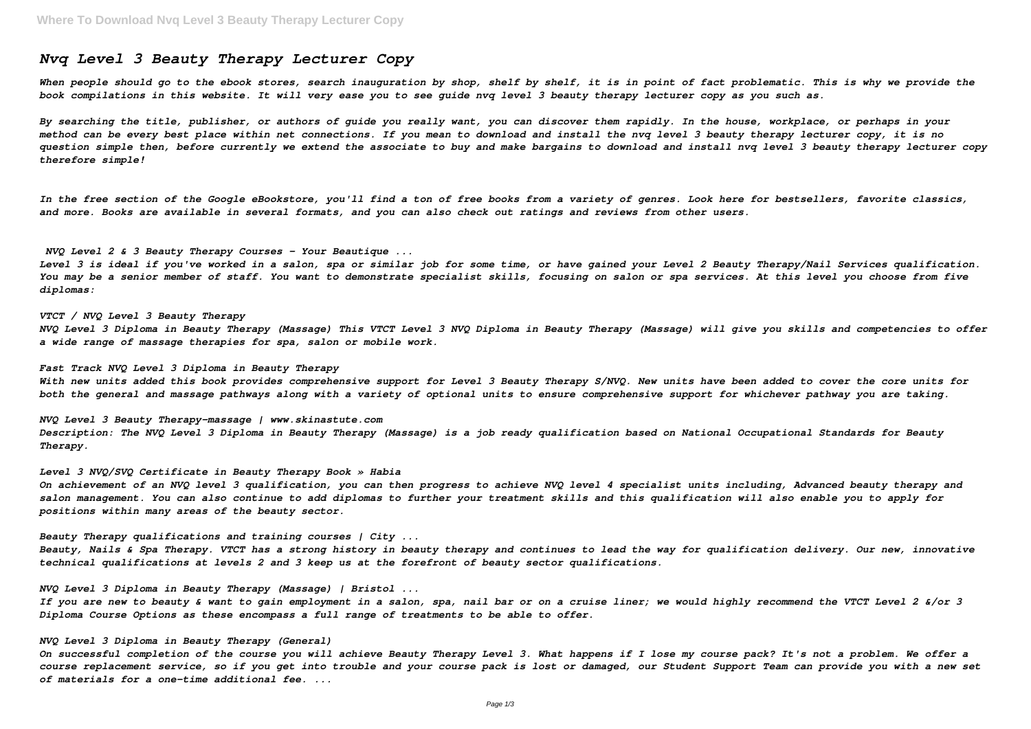# *Nvq Level 3 Beauty Therapy Lecturer Copy*

When people should go to the ebook stores, search inauguration by shop, shelf by shelf, it is in point of fact problematic. This is why we provide the *book compilations in this website. It will very ease you to see guide nvq level 3 beauty therapy lecturer copy as you such as.*

*By searching the title, publisher, or authors of guide you really want, you can discover them rapidly. In the house, workplace, or perhaps in your method can be every best place within net connections. If you mean to download and install the nvq level 3 beauty therapy lecturer copy, it is no question simple then, before currently we extend the associate to buy and make bargains to download and install nvq level 3 beauty therapy lecturer copy therefore simple!*

*In the free section of the Google eBookstore, you'll find a ton of free books from a variety of genres. Look here for bestsellers, favorite classics, and more. Books are available in several formats, and you can also check out ratings and reviews from other users.*

*NVQ Level 2 & 3 Beauty Therapy Courses - Your Beautique ...*

*Level 3 is ideal if you've worked in a salon, spa or similar job for some time, or have gained your Level 2 Beauty Therapy/Nail Services qualification. You may be a senior member of staff. You want to demonstrate specialist skills, focusing on salon or spa services. At this level you choose from five diplomas:*

*VTCT / NVQ Level 3 Beauty Therapy NVQ Level 3 Diploma in Beauty Therapy (Massage) This VTCT Level 3 NVQ Diploma in Beauty Therapy (Massage) will give you skills and competencies to offer a wide range of massage therapies for spa, salon or mobile work.*

*Fast Track NVQ Level 3 Diploma in Beauty Therapy With new units added this book provides comprehensive support for Level 3 Beauty Therapy S/NVQ. New units have been added to cover the core units for both the general and massage pathways along with a variety of optional units to ensure comprehensive support for whichever pathway you are taking.*

*NVQ Level 3 Beauty Therapy-massage | www.skinastute.com Description: The NVQ Level 3 Diploma in Beauty Therapy (Massage) is a job ready qualification based on National Occupational Standards for Beauty Therapy.*

*Level 3 NVQ/SVQ Certificate in Beauty Therapy Book » Habia On achievement of an NVQ level 3 qualification, you can then progress to achieve NVQ level 4 specialist units including, Advanced beauty therapy and salon management. You can also continue to add diplomas to further your treatment skills and this qualification will also enable you to apply for positions within many areas of the beauty sector.*

*Beauty Therapy qualifications and training courses | City ... Beauty, Nails & Spa Therapy. VTCT has a strong history in beauty therapy and continues to lead the way for qualification delivery. Our new, innovative technical qualifications at levels 2 and 3 keep us at the forefront of beauty sector qualifications.*

*NVQ Level 3 Diploma in Beauty Therapy (Massage) | Bristol ...*

*If you are new to beauty & want to gain employment in a salon, spa, nail bar or on a cruise liner; we would highly recommend the VTCT Level 2 &/or 3 Diploma Course Options as these encompass a full range of treatments to be able to offer.*

*NVQ Level 3 Diploma in Beauty Therapy (General)*

*On successful completion of the course you will achieve Beauty Therapy Level 3. What happens if I lose my course pack? It's not a problem. We offer a course replacement service, so if you get into trouble and your course pack is lost or damaged, our Student Support Team can provide you with a new set of materials for a one-time additional fee. ...*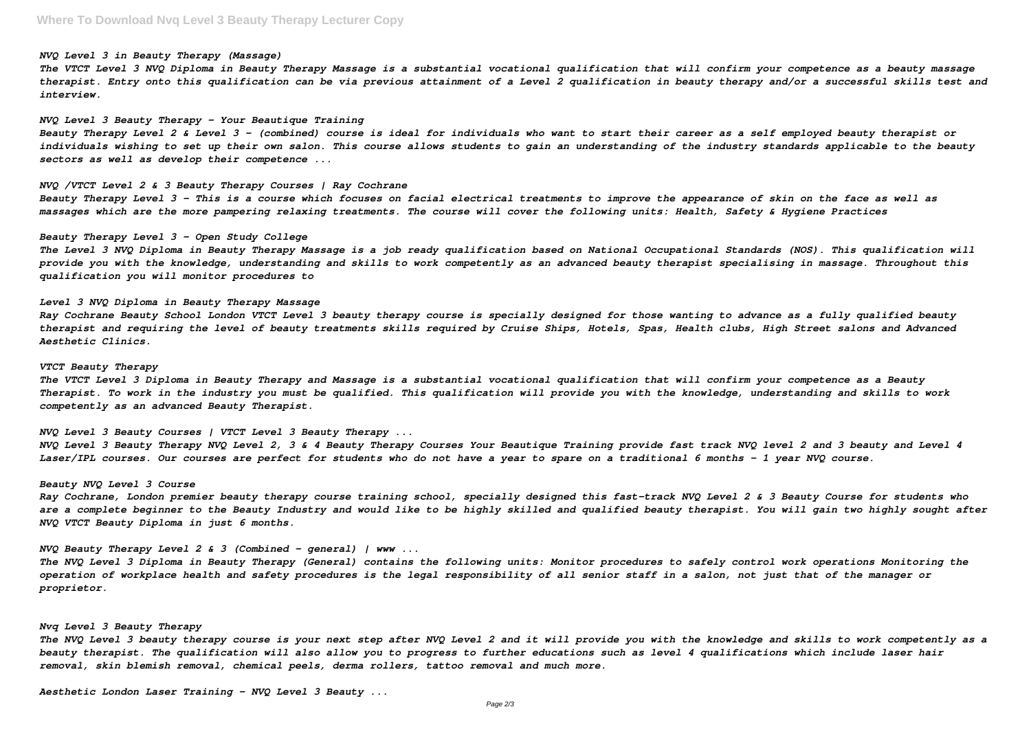#### *NVQ Level 3 in Beauty Therapy (Massage)*

*The VTCT Level 3 NVQ Diploma in Beauty Therapy Massage is a substantial vocational qualification that will confirm your competence as a beauty massage therapist. Entry onto this qualification can be via previous attainment of a Level 2 qualification in beauty therapy and/or a successful skills test and interview.*

## *NVQ Level 3 Beauty Therapy - Your Beautique Training*

*Beauty Therapy Level 2 & Level 3 – (combined) course is ideal for individuals who want to start their career as a self employed beauty therapist or individuals wishing to set up their own salon. This course allows students to gain an understanding of the industry standards applicable to the beauty sectors as well as develop their competence ...*

# *NVQ /VTCT Level 2 & 3 Beauty Therapy Courses | Ray Cochrane*

*Beauty Therapy Level 3 – This is a course which focuses on facial electrical treatments to improve the appearance of skin on the face as well as massages which are the more pampering relaxing treatments. The course will cover the following units: Health, Safety & Hygiene Practices*

## *Beauty Therapy Level 3 - Open Study College*

*The Level 3 NVQ Diploma in Beauty Therapy Massage is a job ready qualification based on National Occupational Standards (NOS). This qualification will provide you with the knowledge, understanding and skills to work competently as an advanced beauty therapist specialising in massage. Throughout this qualification you will monitor procedures to*

## *Level 3 NVQ Diploma in Beauty Therapy Massage*

*Ray Cochrane Beauty School London VTCT Level 3 beauty therapy course is specially designed for those wanting to advance as a fully qualified beauty therapist and requiring the level of beauty treatments skills required by Cruise Ships, Hotels, Spas, Health clubs, High Street salons and Advanced Aesthetic Clinics.*

#### *VTCT Beauty Therapy*

*The VTCT Level 3 Diploma in Beauty Therapy and Massage is a substantial vocational qualification that will confirm your competence as a Beauty Therapist. To work in the industry you must be qualified. This qualification will provide you with the knowledge, understanding and skills to work competently as an advanced Beauty Therapist.*

*NVQ Level 3 Beauty Courses | VTCT Level 3 Beauty Therapy ...*

*NVQ Level 3 Beauty Therapy NVQ Level 2, 3 & 4 Beauty Therapy Courses Your Beautique Training provide fast track NVQ level 2 and 3 beauty and Level 4 Laser/IPL courses. Our courses are perfect for students who do not have a year to spare on a traditional 6 months – 1 year NVQ course.*

#### *Beauty NVQ Level 3 Course*

*Ray Cochrane, London premier beauty therapy course training school, specially designed this fast-track NVQ Level 2 & 3 Beauty Course for students who are a complete beginner to the Beauty Industry and would like to be highly skilled and qualified beauty therapist. You will gain two highly sought after NVQ VTCT Beauty Diploma in just 6 months.*

*NVQ Beauty Therapy Level 2 & 3 (Combined – general) | www ...*

*The NVQ Level 3 Diploma in Beauty Therapy (General) contains the following units: Monitor procedures to safely control work operations Monitoring the operation of workplace health and safety procedures is the legal responsibility of all senior staff in a salon, not just that of the manager or proprietor.*

## *Nvq Level 3 Beauty Therapy*

*The NVQ Level 3 beauty therapy course is your next step after NVQ Level 2 and it will provide you with the knowledge and skills to work competently as a beauty therapist. The qualification will also allow you to progress to further educations such as level 4 qualifications which include laser hair removal, skin blemish removal, chemical peels, derma rollers, tattoo removal and much more.*

*Aesthetic London Laser Training - NVQ Level 3 Beauty ...*